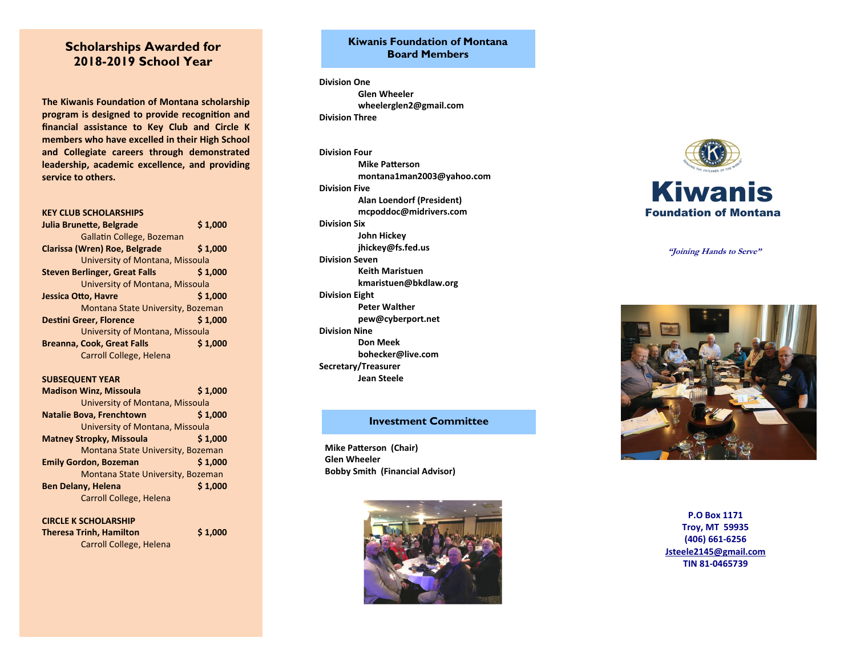# **Scholarships Awarded for 2018-2019 School Year**

**The Kiwanis Founda Ɵon of Montana scholarship program is designed to provide recogni Ɵon and financial assistance to Key Club and Circle K members who have excelled in their High School and Collegiate careers through demonstrated leadership, academic excellence, and providing service to others.** 

### **KEY CLUB SCHOLARSHIPS**

| Julia Brunette, Belgrade             | \$1,000 |
|--------------------------------------|---------|
| Gallatin College, Bozeman            |         |
| Clarissa (Wren) Roe, Belgrade        | \$1,000 |
| University of Montana, Missoula      |         |
| <b>Steven Berlinger, Great Falls</b> | \$1,000 |
| University of Montana, Missoula      |         |
| Jessica Otto, Havre                  | \$1.000 |
| Montana State University, Bozeman    |         |
| <b>Destini Greer, Florence</b>       | \$1.000 |
| University of Montana, Missoula      |         |
| <b>Breanna, Cook, Great Falls</b>    | \$1.000 |
| Carroll College, Helena              |         |

### **SUBSEQUENT YEAR**

| <b>Madison Winz, Missoula</b>     | \$1,000 |
|-----------------------------------|---------|
| University of Montana, Missoula   |         |
| <b>Natalie Bova, Frenchtown</b>   | \$1,000 |
| University of Montana, Missoula   |         |
| <b>Matney Stropky, Missoula</b>   | \$1.000 |
| Montana State University, Bozeman |         |
| <b>Emily Gordon, Bozeman</b>      | \$1,000 |
| Montana State University, Bozeman |         |
| <b>Ben Delany, Helena</b>         | \$1,000 |
| Carroll College, Helena           |         |

**CIRCLE K SCHOLARSHIP Theresa Trinh, Hamilton** \$1,000 Carroll College, Helena

# **Kiwanis Foundation of Montana Board Members**

**Division One Glen Wheeler wheelerglen2@gmail.com Division Three** 

# **Division Four**

 **Mike PaƩerson montana1man2003@yahoo.com Division Five Alan Loendorf (President) mcpoddoc@midrivers.com Division Six John Hickey jhickey@fs.fed.us Division Seven Keith Maristuen kmaristuen@bkdlaw.org Division Eight Peter Walther pew@cyberport.net Division Nine Don Meek bohecker@live.com Secretary/Treasurer Jean Steele** 

## **Investment Committee**

**Mike Pa Ʃerson (Chair) Glen Wheeler Bobby Smith (Financial Advisor)** 





**"Joining Hands to Serve"**



**P.O Box 1171 Troy, MT 59935 (406) 661‐6256 Jsteele2145@gmail.com TIN 81‐0465739**